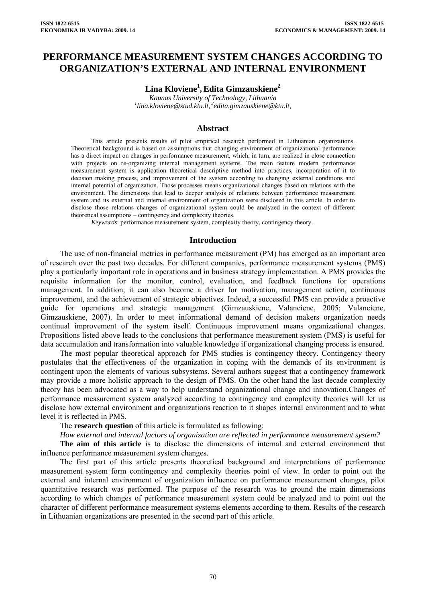# **PERFORMANCE MEASUREMENT SYSTEM CHANGES ACCORDING TO ORGANIZATION'S EXTERNAL AND INTERNAL ENVIRONMENT**

# $\mathbf{Lina}\ \mathbf{K}$ loviene<sup>1</sup>, Edita Gimzauskiene<sup>2</sup>

*Kaunas University of Technology, Lithuania 1 lina.kloviene@stud.ktu.lt, 2[edita.gimzauskiene@ktu.lt,](mailto:edita.gimzauskiene@ktu.lt)* 

### **Abstract**

This article presents results of pilot empirical research performed in Lithuanian organizations. Theoretical background is based on assumptions that changing environment of organizational performance has a direct impact on changes in performance measurement, which, in turn, are realized in close connection with projects on re-organizing internal management systems. The main feature modern performance measurement system is application theoretical descriptive method into practices, incorporation of it to decision making process, and improvement of the system according to changing external conditions and internal potential of organization. Those processes means organizational changes based on relations with the environment. The dimensions that lead to deeper analysis of relations between performance measurement system and its external and internal environment of organization were disclosed in this article. In order to disclose those relations changes of organizational system could be analyzed in the context of different theoretical assumptions – contingency and complexity theories.

*Keywords*: performance measurement system, complexity theory, contingency theory.

#### **Introduction**

The use of non-financial metrics in performance measurement (PM) has emerged as an important area of research over the past two decades. For different companies, performance measurement systems (PMS) play a particularly important role in operations and in business strategy implementation. A PMS provides the requisite information for the monitor, control, evaluation, and feedback functions for operations management. In addition, it can also become a driver for motivation, management action, continuous improvement, and the achievement of strategic objectives. Indeed, a successful PMS can provide a proactive guide for operations and strategic management (Gimzauskiene, Valanciene, 2005; Valanciene, Gimzauskiene, 2007). In order to meet informational demand of decision makers organization needs continual improvement of the system itself. Continuous improvement means organizational changes. Propositions listed above leads to the conclusions that performance measurement system (PMS) is useful for data accumulation and transformation into valuable knowledge if organizational changing process is ensured.

The most popular theoretical approach for PMS studies is contingency theory. Contingency theory postulates that the effectiveness of the organization in coping with the demands of its environment is contingent upon the elements of various subsystems. Several authors suggest that a contingency framework may provide a more holistic approach to the design of PMS. On the other hand the last decade complexity theory has been advocated as a way to help understand organizational change and innovation.Changes of performance measurement system analyzed according to contingency and complexity theories will let us disclose how external environment and organizations reaction to it shapes internal environment and to what level it is reflected in PMS.

The **research question** of this article is formulated as following:

*How external and internal factors of organization are reflected in performance measurement system?* 

**The aim of this article** is to disclose the dimensions of internal and external environment that influence performance measurement system changes.

The first part of this article presents theoretical background and interpretations of performance measurement system form contingency and complexity theories point of view. In order to point out the external and internal environment of organization influence on performance measurement changes, pilot quantitative research was performed. The purpose of the research was to ground the main dimensions according to which changes of performance measurement system could be analyzed and to point out the character of different performance measurement systems elements according to them. Results of the research in Lithuanian organizations are presented in the second part of this article.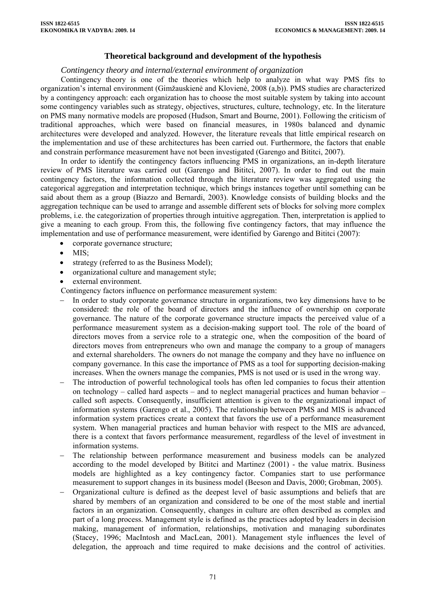# **Theoretical background and development of the hypothesis**

### *Contingency theory and internal/external environment of organization*

Contingency theory is one of the theories which help to analyze in what way PMS fits to organization's internal environment (Gimžauskienė and Klovienė, 2008 (a,b)). PMS studies are characterized by a contingency approach: each organization has to choose the most suitable system by taking into account some contingency variables such as strategy, objectives, structures, culture, technology, etc. In the literature on PMS many normative models are proposed (Hudson, Smart and Bourne, 2001). Following the criticism of traditional approaches, which were based on financial measures, in 1980s balanced and dynamic architectures were developed and analyzed. However, the literature reveals that little empirical research on the implementation and use of these architectures has been carried out. Furthermore, the factors that enable and constrain performance measurement have not been investigated (Garengo and Bititci, 2007).

In order to identify the contingency factors influencing PMS in organizations, an in-depth literature review of PMS literature was carried out (Garengo and Bititci, 2007). In order to find out the main contingency factors, the information collected through the literature review was aggregated using the categorical aggregation and interpretation technique, which brings instances together until something can be said about them as a group (Biazzo and Bernardi, 2003). Knowledge consists of building blocks and the aggregation technique can be used to arrange and assemble different sets of blocks for solving more complex problems, i.e. the categorization of properties through intuitive aggregation. Then, interpretation is applied to give a meaning to each group. From this, the following five contingency factors, that may influence the implementation and use of performance measurement, were identified by Garengo and Bititci (2007):

- corporate governance structure;
- $\bullet$  MIS $\cdot$
- strategy (referred to as the Business Model);
- organizational culture and management style;
- external environment.

Contingency factors influence on performance measurement system:

- In order to study corporate governance structure in organizations, two key dimensions have to be considered: the role of the board of directors and the influence of ownership on corporate governance. The nature of the corporate governance structure impacts the perceived value of a performance measurement system as a decision-making support tool. The role of the board of directors moves from a service role to a strategic one, when the composition of the board of directors moves from entrepreneurs who own and manage the company to a group of managers and external shareholders. The owners do not manage the company and they have no influence on company governance. In this case the importance of PMS as a tool for supporting decision-making increases. When the owners manage the companies, PMS is not used or is used in the wrong way.
- The introduction of powerful technological tools has often led companies to focus their attention on technology – called hard aspects – and to neglect managerial practices and human behavior – called soft aspects. Consequently, insufficient attention is given to the organizational impact of information systems (Garengo et al., 2005). The relationship between PMS and MIS is advanced information system practices create a context that favors the use of a performance measurement system. When managerial practices and human behavior with respect to the MIS are advanced, there is a context that favors performance measurement, regardless of the level of investment in information systems.
- The relationship between performance measurement and business models can be analyzed according to the model developed by Bititci and Martinez (2001) - the value matrix. Business models are highlighted as a key contingency factor. Companies start to use performance measurement to support changes in its business model (Beeson and Davis, 2000; Grobman, 2005).
- − Organizational culture is defined as the deepest level of basic assumptions and beliefs that are shared by members of an organization and considered to be one of the most stable and inertial factors in an organization. Consequently, changes in culture are often described as complex and part of a long process. Management style is defined as the practices adopted by leaders in decision making, management of information, relationships, motivation and managing subordinates (Stacey, 1996; MacIntosh and MacLean, 2001). Management style influences the level of delegation, the approach and time required to make decisions and the control of activities.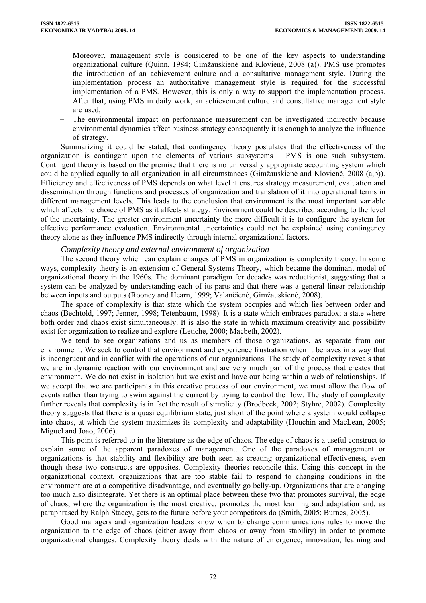Moreover, management style is considered to be one of the key aspects to understanding organizational culture (Quinn, 1984; Gimžauskienė and Klovienė, 2008 (a)). PMS use promotes the introduction of an achievement culture and a consultative management style. During the implementation process an authoritative management style is required for the successful implementation of a PMS. However, this is only a way to support the implementation process. After that, using PMS in daily work, an achievement culture and consultative management style are used;

The environmental impact on performance measurement can be investigated indirectly because environmental dynamics affect business strategy consequently it is enough to analyze the influence of strategy.

Summarizing it could be stated, that contingency theory postulates that the effectiveness of the organization is contingent upon the elements of various subsystems – PMS is one such subsystem. Contingent theory is based on the premise that there is no universally appropriate accounting system which could be applied equally to all organization in all circumstances (Gimžauskienė and Klovienė, 2008 (a,b)). Efficiency and effectiveness of PMS depends on what level it ensures strategy measurement, evaluation and dissemination through functions and processes of organization and translation of it into operational terms in different management levels. This leads to the conclusion that environment is the most important variable which affects the choice of PMS as it affects strategy. Environment could be described according to the level of the uncertainty. The greater environment uncertainty the more difficult it is to configure the system for effective performance evaluation. Environmental uncertainties could not be explained using contingency theory alone as they influence PMS indirectly through internal organizational factors.

## *Complexity theory and external environment of organization*

The second theory which can explain changes of PMS in organization is complexity theory. In some ways, complexity theory is an extension of General Systems Theory, which became the dominant model of organizational theory in the 1960s. The dominant paradigm for decades was reductionist, suggesting that a system can be analyzed by understanding each of its parts and that there was a general linear relationship between inputs and outputs (Rooney and Hearn, 1999; Valančienė, Gimžauskienė, 2008).

The space of complexity is that state which the system occupies and which lies between order and chaos (Bechtold, 1997; Jenner, 1998; Tetenbaum, 1998). It is a state which embraces paradox; a state where both order and chaos exist simultaneously. It is also the state in which maximum creativity and possibility exist for organization to realize and explore (Letiche, 2000; Macbeth, 2002).

We tend to see organizations and us as members of those organizations, as separate from our environment. We seek to control that environment and experience frustration when it behaves in a way that is incongruent and in conflict with the operations of our organizations. The study of complexity reveals that we are in dynamic reaction with our environment and are very much part of the process that creates that environment. We do not exist in isolation but we exist and have our being within a web of relationships. If we accept that we are participants in this creative process of our environment, we must allow the flow of events rather than trying to swim against the current by trying to control the flow. The study of complexity further reveals that complexity is in fact the result of simplicity (Brodbeck, 2002; Styhre, 2002). Complexity theory suggests that there is a quasi equilibrium state, just short of the point where a system would collapse into chaos, at which the system maximizes its complexity and adaptability (Houchin and MacLean, 2005; Miguel and Joao, 2006).

This point is referred to in the literature as the edge of chaos. The edge of chaos is a useful construct to explain some of the apparent paradoxes of management. One of the paradoxes of management or organizations is that stability and flexibility are both seen as creating organizational effectiveness, even though these two constructs are opposites. Complexity theories reconcile this. Using this concept in the organizational context, organizations that are too stable fail to respond to changing conditions in the environment are at a competitive disadvantage, and eventually go belly-up. Organizations that are changing too much also disintegrate. Yet there is an optimal place between these two that promotes survival, the edge of chaos, where the organization is the most creative, promotes the most learning and adaptation and, as paraphrased by Ralph Stacey, gets to the future before your competitors do (Smith, 2005; Burnes, 2005).

Good managers and organization leaders know when to change communications rules to move the organization to the edge of chaos (either away from chaos or away from stability) in order to promote organizational changes. Complexity theory deals with the nature of emergence, innovation, learning and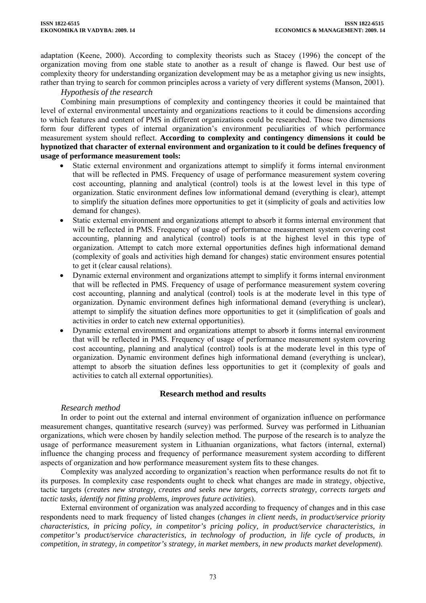adaptation (Keene, 2000). According to complexity theorists such as Stacey (1996) the concept of the organization moving from one stable state to another as a result of change is flawed. Our best use of complexity theory for understanding organization development may be as a metaphor giving us new insights, rather than trying to search for common principles across a variety of very different systems (Manson, 2001).

### *Hypothesis of the research*

Combining main presumptions of complexity and contingency theories it could be maintained that level of external environmental uncertainty and organizations reactions to it could be dimensions according to which features and content of PMS in different organizations could be researched. Those two dimensions form four different types of internal organization's environment peculiarities of which performance measurement system should reflect. **According to complexity and contingency dimensions it could be hypnotized that character of external environment and organization to it could be defines frequency of usage of performance measurement tools:** 

- Static external environment and organizations attempt to simplify it forms internal environment that will be reflected in PMS. Frequency of usage of performance measurement system covering cost accounting, planning and analytical (control) tools is at the lowest level in this type of organization. Static environment defines low informational demand (everything is clear), attempt to simplify the situation defines more opportunities to get it (simplicity of goals and activities low demand for changes).
- Static external environment and organizations attempt to absorb it forms internal environment that will be reflected in PMS. Frequency of usage of performance measurement system covering cost accounting, planning and analytical (control) tools is at the highest level in this type of organization. Attempt to catch more external opportunities defines high informational demand (complexity of goals and activities high demand for changes) static environment ensures potential to get it (clear causal relations).
- Dynamic external environment and organizations attempt to simplify it forms internal environment that will be reflected in PMS. Frequency of usage of performance measurement system covering cost accounting, planning and analytical (control) tools is at the moderate level in this type of organization. Dynamic environment defines high informational demand (everything is unclear), attempt to simplify the situation defines more opportunities to get it (simplification of goals and activities in order to catch new external opportunities).
- Dynamic external environment and organizations attempt to absorb it forms internal environment that will be reflected in PMS. Frequency of usage of performance measurement system covering cost accounting, planning and analytical (control) tools is at the moderate level in this type of organization. Dynamic environment defines high informational demand (everything is unclear), attempt to absorb the situation defines less opportunities to get it (complexity of goals and activities to catch all external opportunities).

# **Research method and results**

# *Research method*

In order to point out the external and internal environment of organization influence on performance measurement changes, quantitative research (survey) was performed. Survey was performed in Lithuanian organizations, which were chosen by handily selection method. The purpose of the research is to analyze the usage of performance measurement system in Lithuanian organizations, what factors (internal, external) influence the changing process and frequency of performance measurement system according to different aspects of organization and how performance measurement system fits to these changes.

Complexity was analyzed according to organization's reaction when performance results do not fit to its purposes. In complexity case respondents ought to check what changes are made in strategy, objective, tactic targets (*creates new strategy, creates and seeks new targets, corrects strategy, corrects targets and tactic tasks, identify not fitting problems, improves future activities*).

External environment of organization was analyzed according to frequency of changes and in this case respondents need to mark frequency of listed changes (*changes in client needs, in product/service priority characteristics, in pricing policy, in competitor's pricing policy, in product/service characteristics, in competitor's product/service characteristics, in technology of production, in life cycle of products, in competition, in strategy, in competitor's strategy, in market members, in new products market development*).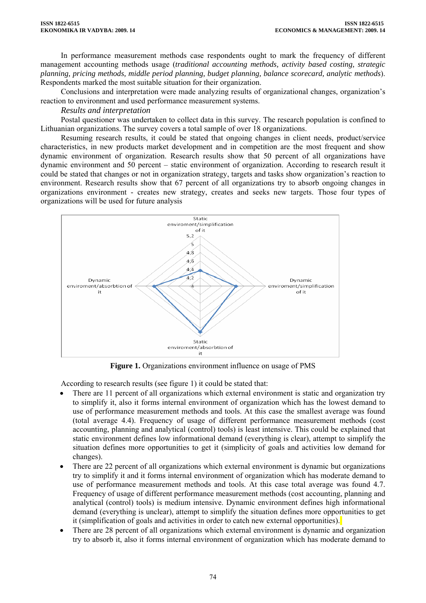In performance measurement methods case respondents ought to mark the frequency of different management accounting methods usage (*traditional accounting methods, activity based costing, strategic planning, pricing methods, middle period planning, budget planning, balance scorecard, analytic methods*). Respondents marked the most suitable situation for their organization.

Conclusions and interpretation were made analyzing results of organizational changes, organization's reaction to environment and used performance measurement systems.

### *Results and interpretation*

Postal questioner was undertaken to collect data in this survey. The research population is confined to Lithuanian organizations. The survey covers a total sample of over 18 organizations.

Resuming research results, it could be stated that ongoing changes in client needs, product/service characteristics, in new products market development and in competition are the most frequent and show dynamic environment of organization. Research results show that 50 percent of all organizations have dynamic environment and 50 percent – static environment of organization. According to research result it could be stated that changes or not in organization strategy, targets and tasks show organization's reaction to environment. Research results show that 67 percent of all organizations try to absorb ongoing changes in organizations environment - creates new strategy, creates and seeks new targets. Those four types of organizations will be used for future analysis



**Figure 1.** Organizations environment influence on usage of PMS

According to research results (see figure 1) it could be stated that:

- There are 11 percent of all organizations which external environment is static and organization try to simplify it, also it forms internal environment of organization which has the lowest demand to use of performance measurement methods and tools. At this case the smallest average was found (total average 4.4). Frequency of usage of different performance measurement methods (cost accounting, planning and analytical (control) tools) is least intensive. This could be explained that static environment defines low informational demand (everything is clear), attempt to simplify the situation defines more opportunities to get it (simplicity of goals and activities low demand for changes).
- There are 22 percent of all organizations which external environment is dynamic but organizations try to simplify it and it forms internal environment of organization which has moderate demand to use of performance measurement methods and tools. At this case total average was found 4.7. Frequency of usage of different performance measurement methods (cost accounting, planning and analytical (control) tools) is medium intensive. Dynamic environment defines high informational demand (everything is unclear), attempt to simplify the situation defines more opportunities to get it (simplification of goals and activities in order to catch new external opportunities).
- There are 28 percent of all organizations which external environment is dynamic and organization try to absorb it, also it forms internal environment of organization which has moderate demand to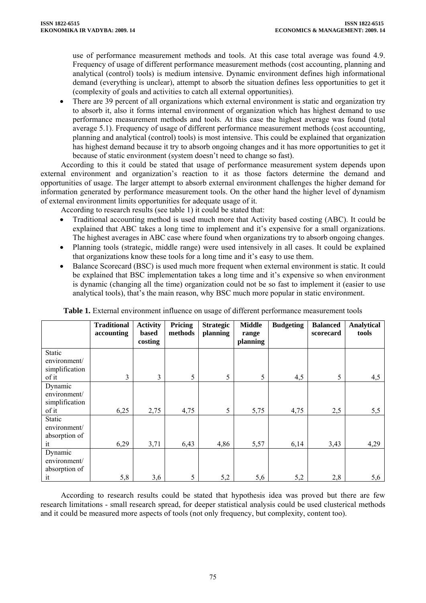use of performance measurement methods and tools. At this case total average was found 4.9. Frequency of usage of different performance measurement methods (cost accounting, planning and analytical (control) tools) is medium intensive. Dynamic environment defines high informational demand (everything is unclear), attempt to absorb the situation defines less opportunities to get it (complexity of goals and activities to catch all external opportunities).

• There are 39 percent of all organizations which external environment is static and organization try to absorb it, also it forms internal environment of organization which has highest demand to use performance measurement methods and tools. At this case the highest average was found (total average 5.1). Frequency of usage of different performance measurement methods (cost accounting, planning and analytical (control) tools) is most intensive. This could be explained that organization has highest demand because it try to absorb ongoing changes and it has more opportunities to get it because of static environment (system doesn't need to change so fast).

According to this it could be stated that usage of performance measurement system depends upon external environment and organization's reaction to it as those factors determine the demand and opportunities of usage. The larger attempt to absorb external environment challenges the higher demand for information generated by performance measurement tools. On the other hand the higher level of dynamism of external environment limits opportunities for adequate usage of it.

According to research results (see table 1) it could be stated that:

- Traditional accounting method is used much more that Activity based costing (ABC). It could be explained that ABC takes a long time to implement and it's expensive for a small organizations. The highest averages in ABC case where found when organizations try to absorb ongoing changes.
- Planning tools (strategic, middle range) were used intensively in all cases. It could be explained that organizations know these tools for a long time and it's easy to use them.
- Balance Scorecard (BSC) is used much more frequent when external environment is static. It could be explained that BSC implementation takes a long time and it's expensive so when environment is dynamic (changing all the time) organization could not be so fast to implement it (easier to use analytical tools), that's the main reason, why BSC much more popular in static environment.

|                                                | <b>Traditional</b> | <b>Activity</b>  | Pricing | <b>Strategic</b> | <b>Middle</b>     | <b>Budgeting</b> | <b>Balanced</b> | <b>Analytical</b> |
|------------------------------------------------|--------------------|------------------|---------|------------------|-------------------|------------------|-----------------|-------------------|
|                                                | accounting         | based<br>costing | methods | planning         | range<br>planning |                  | scorecard       | tools             |
| Static<br>environment/                         |                    |                  |         |                  |                   |                  |                 |                   |
| simplification<br>of it                        | 3                  | 3                | 5       | 5                | 5                 | 4,5              | 5               | 4,5               |
| Dynamic<br>environment/<br>simplification      |                    |                  |         |                  |                   |                  |                 |                   |
| of it                                          | 6,25               | 2,75             | 4,75    | 5                | 5,75              | 4,75             | 2,5             | 5,5               |
| Static<br>environment/<br>absorption of        |                    |                  |         |                  |                   |                  |                 |                   |
| it                                             | 6,29               | 3,71             | 6,43    | 4,86             | 5,57              | 6,14             | 3,43            | 4,29              |
| Dynamic<br>environment/<br>absorption of<br>it | 5,8                | 3,6              | 5       | 5,2              | 5,6               | 5,2              | 2,8             | 5,6               |

**Table 1.** External environment influence on usage of different performance measurement tools

According to research results could be stated that hypothesis idea was proved but there are few research limitations - small research spread, for deeper statistical analysis could be used clusterical methods and it could be measured more aspects of tools (not only frequency, but complexity, content too).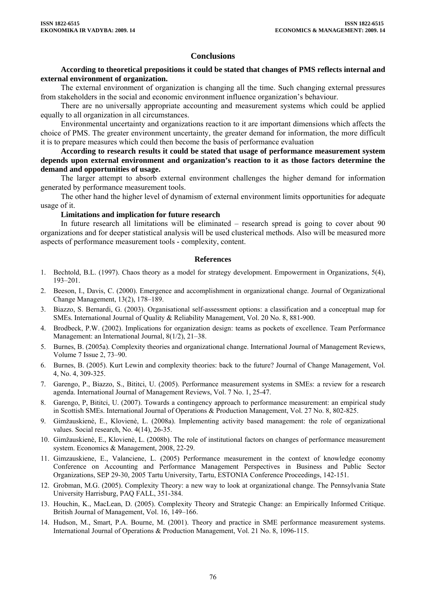### **Conclusions**

### **According to theoretical prepositions it could be stated that changes of PMS reflects internal and external environment of organization.**

The external environment of organization is changing all the time. Such changing external pressures from stakeholders in the social and economic environment influence organization's behaviour.

There are no universally appropriate accounting and measurement systems which could be applied equally to all organization in all circumstances.

Environmental uncertainty and organizations reaction to it are important dimensions which affects the choice of PMS. The greater environment uncertainty, the greater demand for information, the more difficult it is to prepare measures which could then become the basis of performance evaluation

**According to research results it could be stated that usage of performance measurement system depends upon external environment and organization's reaction to it as those factors determine the demand and opportunities of usage.**

The larger attempt to absorb external environment challenges the higher demand for information generated by performance measurement tools.

The other hand the higher level of dynamism of external environment limits opportunities for adequate usage of it.

#### **Limitations and implication for future research**

In future research all limitations will be eliminated – research spread is going to cover about 90 organizations and for deeper statistical analysis will be used clusterical methods. Also will be measured more aspects of performance measurement tools - complexity, content.

#### **References**

- 1. Bechtold, B.L. (1997). Chaos theory as a model for strategy development. Empowerment in Organizations, 5(4), 193–201.
- 2. Beeson, I., Davis, C. (2000). Emergence and accomplishment in organizational change. Journal of Organizational Change Management, 13(2), 178–189.
- 3. Biazzo, S. Bernardi, G. (2003). Organisational self-assessment options: a classification and a conceptual map for SMEs. International Journal of Quality & Reliability Management, Vol. 20 No. 8, 881-900.
- 4. Brodbeck, P.W. (2002). Implications for organization design: teams as pockets of excellence. Team Performance Management: an International Journal, 8(1/2), 21–38.
- 5. Burnes, B. (2005a). Complexity theories and organizational change. International Journal of Management Reviews, Volume 7 Issue 2, 73–90.
- 6. Burnes, B. (2005). Kurt Lewin and complexity theories: back to the future? Journal of Change Management, Vol. 4, No. 4, 309-325.
- 7. Garengo, P., Biazzo, S., Bititci, U. (2005). Performance measurement systems in SMEs: a review for a research agenda. International Journal of Management Reviews, Vol. 7 No. 1, 25-47.
- 8. Garengo, P, Bititci, U. (2007). Towards a contingency approach to performance measurement: an empirical study in Scottish SMEs. International Journal of Operations & Production Management, Vol. 27 No. 8, 802-825.
- 9. Gimžauskienė, E., Klovienė, L. (2008a). Implementing activity based management: the role of organizational values. Social research, No. 4(14), 26-35.
- 10. Gimžauskienė, E., Klovienė, L. (2008b). The role of institutional factors on changes of performance measurement system. Economics & Management, 2008, 22-29.
- 11. Gimzauskiene, E., Valanciene, L. (2005) Performance measurement in the context of knowledge economy Conference on Accounting and Performance Management Perspectives in Business and Public Sector Organizations, SEP 29-30, 2005 Tartu University, Tartu, ESTONIA Conference Proceedings, 142-151.
- 12. Grobman, M.G. (2005). Complexity Theory: a new way to look at organizational change. The Pennsylvania State University Harrisburg, PAQ FALL, 351-384.
- 13. Houchin, K., MacLean, D. (2005). Complexity Theory and Strategic Change: an Empirically Informed Critique. British Journal of Management, Vol. 16, 149–166.
- 14. Hudson, M., Smart, P.A. Bourne, M. (2001). Theory and practice in SME performance measurement systems. International Journal of Operations & Production Management, Vol. 21 No. 8, 1096-115.